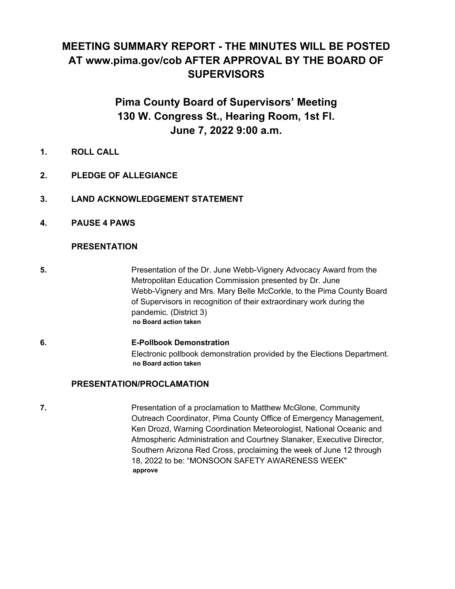# **MEETING SUMMARY REPORT - THE MINUTES WILL BE POSTED AT www.pima.gov/cob AFTER APPROVAL BY THE BOARD OF SUPERVISORS**

# **Pima County Board of Supervisors' Meeting 130 W. Congress St., Hearing Room, 1st Fl. June 7, 2022 9:00 a.m.**

- **1. ROLL CALL**
- **2. PLEDGE OF ALLEGIANCE**
- **3. LAND ACKNOWLEDGEMENT STATEMENT**
- **4. PAUSE 4 PAWS**

## **PRESENTATION**

- **5. Example 2** Presentation of the Dr. June Webb-Vignery Advocacy Award from the Metropolitan Education Commission presented by Dr. June Webb-Vignery and Mrs. Mary Belle McCorkle, to the Pima County Board of Supervisors in recognition of their extraordinary work during the pandemic. (District 3) **no Board action taken**
- **6. E-Pollbook Demonstration** Electronic pollbook demonstration provided by the Elections Department. **no Board action taken**

## **PRESENTATION/PROCLAMATION**

**7. Presentation of a proclamation to Matthew McGlone, Community** Outreach Coordinator, Pima County Office of Emergency Management, Ken Drozd, Warning Coordination Meteorologist, National Oceanic and Atmospheric Administration and Courtney Slanaker, Executive Director, Southern Arizona Red Cross, proclaiming the week of June 12 through 18, 2022 to be: "MONSOON SAFETY AWARENESS WEEK" **approve**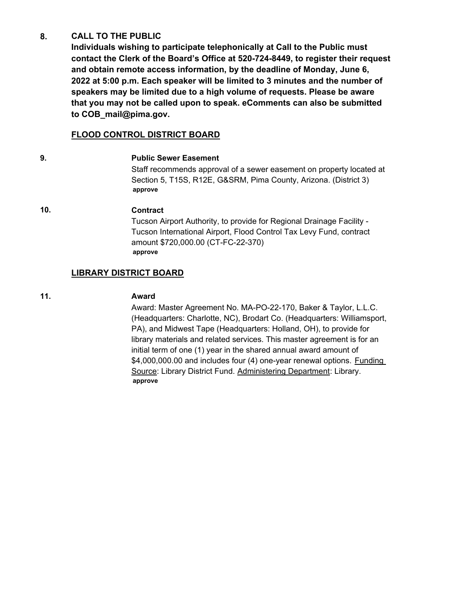#### **CALL TO THE PUBLIC 8.**

**Individuals wishing to participate telephonically at Call to the Public must contact the Clerk of the Board's Office at 520-724-8449, to register their request and obtain remote access information, by the deadline of Monday, June 6, 2022 at 5:00 p.m. Each speaker will be limited to 3 minutes and the number of speakers may be limited due to a high volume of requests. Please be aware that you may not be called upon to speak. eComments can also be submitted to COB\_mail@pima.gov.**

## **FLOOD CONTROL DISTRICT BOARD**

## **9. Public Sewer Easement**

Staff recommends approval of a sewer easement on property located at Section 5, T15S, R12E, G&SRM, Pima County, Arizona. (District 3) **approve**

## **10. Contract**

Tucson Airport Authority, to provide for Regional Drainage Facility - Tucson International Airport, Flood Control Tax Levy Fund, contract amount \$720,000.00 (CT-FC-22-370) **approve**

## **LIBRARY DISTRICT BOARD**

## **11. Award**

Award: Master Agreement No. MA-PO-22-170, Baker & Taylor, L.L.C. (Headquarters: Charlotte, NC), Brodart Co. (Headquarters: Williamsport, PA), and Midwest Tape (Headquarters: Holland, OH), to provide for library materials and related services. This master agreement is for an initial term of one (1) year in the shared annual award amount of \$4,000,000.00 and includes four (4) one-year renewal options. Funding Source: Library District Fund. Administering Department: Library. **approve**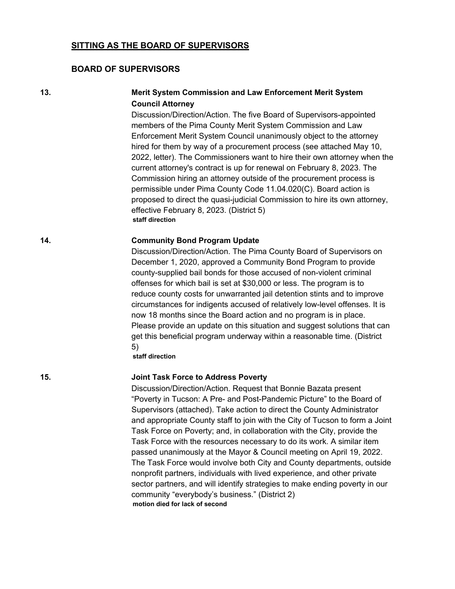#### **SITTING AS THE BOARD OF SUPERVISORS**

#### **BOARD OF SUPERVISORS**

## **13. Merit System Commission and Law Enforcement Merit System Council Attorney**

Discussion/Direction/Action. The five Board of Supervisors-appointed members of the Pima County Merit System Commission and Law Enforcement Merit System Council unanimously object to the attorney hired for them by way of a procurement process (see attached May 10, 2022, letter). The Commissioners want to hire their own attorney when the current attorney's contract is up for renewal on February 8, 2023. The Commission hiring an attorney outside of the procurement process is permissible under Pima County Code 11.04.020(C). Board action is proposed to direct the quasi-judicial Commission to hire its own attorney, effective February 8, 2023. (District 5) **staff direction**

#### **14. Community Bond Program Update**

Discussion/Direction/Action. The Pima County Board of Supervisors on December 1, 2020, approved a Community Bond Program to provide county-supplied bail bonds for those accused of non-violent criminal offenses for which bail is set at \$30,000 or less. The program is to reduce county costs for unwarranted jail detention stints and to improve circumstances for indigents accused of relatively low-level offenses. It is now 18 months since the Board action and no program is in place. Please provide an update on this situation and suggest solutions that can get this beneficial program underway within a reasonable time. (District 5)

**staff direction**

#### **15. Joint Task Force to Address Poverty**

Discussion/Direction/Action. Request that Bonnie Bazata present "Poverty in Tucson: A Pre- and Post-Pandemic Picture" to the Board of Supervisors (attached). Take action to direct the County Administrator and appropriate County staff to join with the City of Tucson to form a Joint Task Force on Poverty; and, in collaboration with the City, provide the Task Force with the resources necessary to do its work. A similar item passed unanimously at the Mayor & Council meeting on April 19, 2022. The Task Force would involve both City and County departments, outside nonprofit partners, individuals with lived experience, and other private sector partners, and will identify strategies to make ending poverty in our community "everybody's business." (District 2) **motion died for lack of second**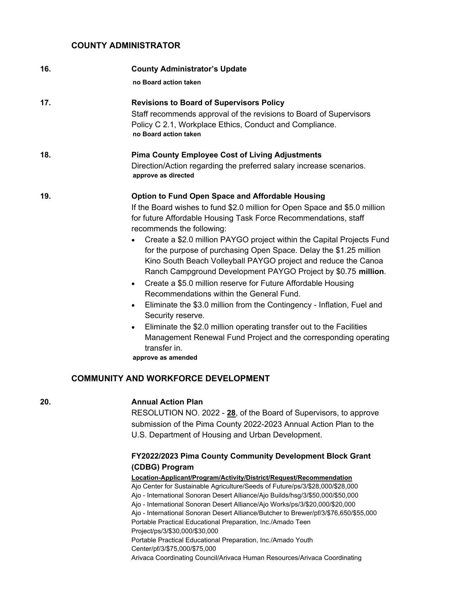#### **COUNTY ADMINISTRATOR**

| 16. | <b>County Administrator's Update</b>                                                                                                                                                                                                                                                                                                                                                                                                                                                                                                                                                                                                                                                                                                                                                                                                                                                                                                                                    |
|-----|-------------------------------------------------------------------------------------------------------------------------------------------------------------------------------------------------------------------------------------------------------------------------------------------------------------------------------------------------------------------------------------------------------------------------------------------------------------------------------------------------------------------------------------------------------------------------------------------------------------------------------------------------------------------------------------------------------------------------------------------------------------------------------------------------------------------------------------------------------------------------------------------------------------------------------------------------------------------------|
|     | no Board action taken                                                                                                                                                                                                                                                                                                                                                                                                                                                                                                                                                                                                                                                                                                                                                                                                                                                                                                                                                   |
| 17. | <b>Revisions to Board of Supervisors Policy</b><br>Staff recommends approval of the revisions to Board of Supervisors<br>Policy C 2.1, Workplace Ethics, Conduct and Compliance.<br>no Board action taken                                                                                                                                                                                                                                                                                                                                                                                                                                                                                                                                                                                                                                                                                                                                                               |
| 18. | <b>Pima County Employee Cost of Living Adjustments</b><br>Direction/Action regarding the preferred salary increase scenarios.<br>approve as directed                                                                                                                                                                                                                                                                                                                                                                                                                                                                                                                                                                                                                                                                                                                                                                                                                    |
| 19. | <b>Option to Fund Open Space and Affordable Housing</b><br>If the Board wishes to fund \$2.0 million for Open Space and \$5.0 million<br>for future Affordable Housing Task Force Recommendations, staff<br>recommends the following:<br>Create a \$2.0 million PAYGO project within the Capital Projects Fund<br>$\bullet$<br>for the purpose of purchasing Open Space. Delay the \$1.25 million<br>Kino South Beach Volleyball PAYGO project and reduce the Canoa<br>Ranch Campground Development PAYGO Project by \$0.75 million.<br>Create a \$5.0 million reserve for Future Affordable Housing<br>$\bullet$<br>Recommendations within the General Fund.<br>Eliminate the \$3.0 million from the Contingency - Inflation, Fuel and<br>$\bullet$<br>Security reserve.<br>Eliminate the \$2.0 million operating transfer out to the Facilities<br>$\bullet$<br>Management Renewal Fund Project and the corresponding operating<br>transfer in.<br>approve as amended |

## **COMMUNITY AND WORKFORCE DEVELOPMENT**

## **20. Annual Action Plan**

RESOLUTION NO. 2022 - **28**, of the Board of Supervisors, to approve submission of the Pima County 2022-2023 Annual Action Plan to the U.S. Department of Housing and Urban Development.

## **FY2022/2023 Pima County Community Development Block Grant (CDBG) Program**

#### **Location-Applicant/Program/Activity/District/Request/Recommendation**

Ajo Center for Sustainable Agriculture/Seeds of Future/ps/3/\$28,000/\$28,000 Ajo - International Sonoran Desert Alliance/Ajo Builds/hsg/3/\$50,000/\$50,000 Ajo - International Sonoran Desert Alliance/Ajo Works/ps/3/\$20,000/\$20,000 Ajo - International Sonoran Desert Alliance/Butcher to Brewer/pf/3/\$76,650/\$55,000 Portable Practical Educational Preparation, Inc./Amado Teen Project/ps/3/\$30,000/\$30,000 Portable Practical Educational Preparation, Inc./Amado Youth Center/pf/3/\$75,000/\$75,000 Arivaca Coordinating Council/Arivaca Human Resources/Arivaca Coordinating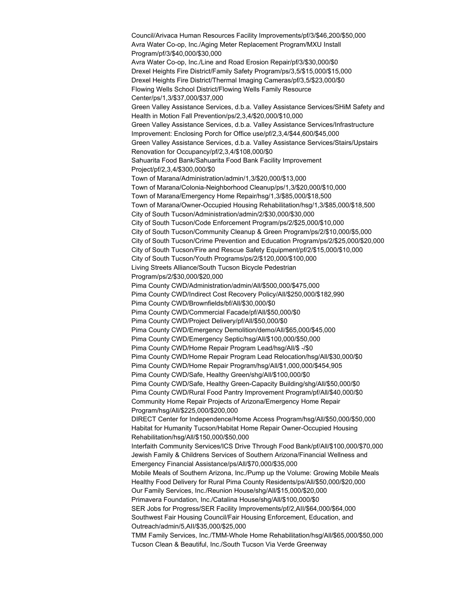Council/Arivaca Human Resources Facility Improvements/pf/3/\$46,200/\$50,000 Avra Water Co-op, Inc./Aging Meter Replacement Program/MXU Install Program/pf/3/\$40,000/\$30,000 Avra Water Co-op, Inc./Line and Road Erosion Repair/pf/3/\$30,000/\$0 Drexel Heights Fire District/Family Safety Program/ps/3,5/\$15,000/\$15,000 Drexel Heights Fire District/Thermal Imaging Cameras/pf/3,5/\$23,000/\$0 Flowing Wells School District/Flowing Wells Family Resource Center/ps/1,3/\$37,000/\$37,000 Green Valley Assistance Services, d.b.a. Valley Assistance Services/SHiM Safety and Health in Motion Fall Prevention/ps/2,3,4/\$20,000/\$10,000 Green Valley Assistance Services, d.b.a. Valley Assistance Services/Infrastructure Improvement: Enclosing Porch for Office use/pf/2,3,4/\$44,600/\$45,000 Green Valley Assistance Services, d.b.a. Valley Assistance Services/Stairs/Upstairs Renovation for Occupancy/pf/2,3,4/\$108,000/\$0 Sahuarita Food Bank/Sahuarita Food Bank Facility Improvement Project/pf/2,3,4/\$300,000/\$0 Town of Marana/Administration/admin/1,3/\$20,000/\$13,000 Town of Marana/Colonia-Neighborhood Cleanup/ps/1,3/\$20,000/\$10,000 Town of Marana/Emergency Home Repair/hsg/1,3/\$85,000/\$18,500 Town of Marana/Owner-Occupied Housing Rehabilitation/hsg/1,3/\$85,000/\$18,500 City of South Tucson/Administration/admin/2/\$30,000/\$30,000 City of South Tucson/Code Enforcement Program/ps/2/\$25,000/\$10,000 City of South Tucson/Community Cleanup & Green Program/ps/2/\$10,000/\$5,000 City of South Tucson/Crime Prevention and Education Program/ps/2/\$25,000/\$20,000 City of South Tucson/Fire and Rescue Safety Equipment/pf/2/\$15,000/\$10,000 City of South Tucson/Youth Programs/ps/2/\$120,000/\$100,000 Living Streets Alliance/South Tucson Bicycle Pedestrian Program/ps/2/\$30,000/\$20,000 Pima County CWD/Administration/admin/All/\$500,000/\$475,000 Pima County CWD/Indirect Cost Recovery Policy/All/\$250,000/\$182,990 Pima County CWD/Brownfields/bf/All/\$30,000/\$0 Pima County CWD/Commercial Facade/pf/All/\$50,000/\$0 Pima County CWD/Project Delivery/pf/All/\$50,000/\$0 Pima County CWD/Emergency Demolition/demo/All/\$65,000/\$45,000 Pima County CWD/Emergency Septic/hsg/All/\$100,000/\$50,000 Pima County CWD/Home Repair Program Lead/hsg/All/\$ -/\$0 Pima County CWD/Home Repair Program Lead Relocation/hsg/All/\$30,000/\$0 Pima County CWD/Home Repair Program/hsg/All/\$1,000,000/\$454,905 Pima County CWD/Safe, Healthy Green/shg/All/\$100,000/\$0 Pima County CWD/Safe, Healthy Green-Capacity Building/shg/All/\$50,000/\$0 Pima County CWD/Rural Food Pantry Improvement Program/pf/All/\$40,000/\$0 Community Home Repair Projects of Arizona/Emergency Home Repair Program/hsg/All/\$225,000/\$200,000 DIRECT Center for Independence/Home Access Program/hsg/All/\$50,000/\$50,000 Habitat for Humanity Tucson/Habitat Home Repair Owner-Occupied Housing Rehabilitation/hsg/All/\$150,000/\$50,000 Interfaith Community Services/ICS Drive Through Food Bank/pf/All/\$100,000/\$70,000 Jewish Family & Childrens Services of Southern Arizona/Financial Wellness and Emergency Financial Assistance/ps/All/\$70,000/\$35,000 Mobile Meals of Southern Arizona, Inc./Pump up the Volume: Growing Mobile Meals Healthy Food Delivery for Rural Pima County Residents/ps/All/\$50,000/\$20,000 Our Family Services, Inc./Reunion House/shg/All/\$15,000/\$20,000 Primavera Foundation, Inc./Catalina House/shg/All/\$100,000/\$0 SER Jobs for Progress/SER Facility Improvements/pf/2,AII/\$64,000/\$64,000 Southwest Fair Housing Council/Fair Housing Enforcement, Education, and Outreach/admin/5,AII/\$35,000/\$25,000 TMM Family Services, Inc./TMM-Whole Home Rehabilitation/hsg/All/\$65,000/\$50,000 Tucson Clean & Beautiful, Inc./South Tucson Via Verde Greenway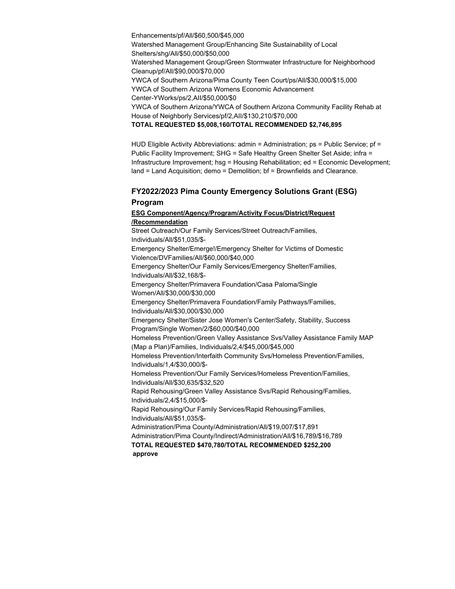Enhancements/pf/All/\$60,500/\$45,000 Watershed Management Group/Enhancing Site Sustainability of Local Shelters/shg/All/\$50,000/\$50,000 Watershed Management Group/Green Stormwater Infrastructure for Neighborhood Cleanup/pf/All/\$90,000/\$70,000 YWCA of Southern Arizona/Pima County Teen Court/ps/All/\$30,000/\$15,000 YWCA of Southern Arizona Womens Economic Advancement Center-YWorks/ps/2,AII/\$50,000/\$0 YWCA of Southern Arizona/YWCA of Southern Arizona Community Facility Rehab at House of Neighborly Services/pf/2,AII/\$130,210/\$70,000 **TOTAL REQUESTED \$5,008,160/TOTAL RECOMMENDED \$2,746,895**

HUD Eligible Activity Abbreviations: admin = Administration;  $ps =$  Public Service;  $pf =$ Public Facility Improvement; SHG = Safe Healthy Green Shelter Set Aside; infra = Infrastructure Improvement; hsg = Housing Rehabilitation; ed = Economic Development; land = Land Acquisition; demo = Demolition; bf = Brownfields and Clearance.

#### **FY2022/2023 Pima County Emergency Solutions Grant (ESG) Program**

#### **ESG Component/Agency/Program/Activity Focus/District/Request /Recommendation**

Street Outreach/Our Family Services/Street Outreach/Families, Individuals/All/\$51,035/\$- Emergency Shelter/Emerge!/Emergency Shelter for Victims of Domestic Violence/DVFamilies/All/\$60,000/\$40,000 Emergency Shelter/Our Family Services/Emergency Shelter/Families, Individuals/All/\$32,168/\$- Emergency Shelter/Primavera Foundation/Casa Paloma/Single Women/All/\$30,000/\$30,000 Emergency Shelter/Primavera Foundation/Family Pathways/Families, Individuals/All/\$30,000/\$30,000 Emergency Shelter/Sister Jose Women's Center/Safety, Stability, Success Program/Single Women/2/\$60,000/\$40,000 Homeless Prevention/Green Valley Assistance Svs/Valley Assistance Family MAP (Map a Plan)/Families, Individuals/2,4/\$45,000/\$45,000 Homeless Prevention/Interfaith Community Svs/Homeless Prevention/Families, Individuals/1,4/\$30,000/\$- Homeless Prevention/Our Family Services/Homeless Prevention/Families, Individuals/All/\$30,635/\$32,520 Rapid Rehousing/Green Valley Assistance Svs/Rapid Rehousing/Families, Individuals/2,4/\$15,000/\$- Rapid Rehousing/Our Family Services/Rapid Rehousing/Families, Individuals/All/\$51,035/\$- Administration/Pima County/Administration/All/\$19,007/\$17,891 Administration/Pima County/Indirect/Administration/All/\$16,789/\$16,789 **TOTAL REQUESTED \$470,780/TOTAL RECOMMENDED \$252,200 approve**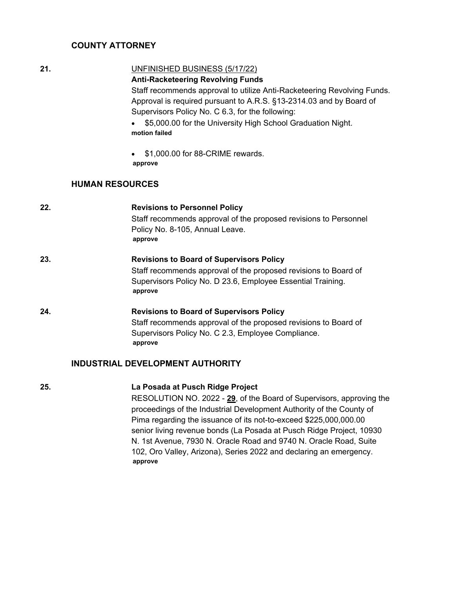## **COUNTY ATTORNEY**

## **21.** UNFINISHED BUSINESS (5/17/22)

## **Anti-Racketeering Revolving Funds**

Staff recommends approval to utilize Anti-Racketeering Revolving Funds. Approval is required pursuant to A.R.S. §13-2314.03 and by Board of Supervisors Policy No. C 6.3, for the following:

- · \$5,000.00 for the University High School Graduation Night. **motion failed**
- \$1,000.00 for 88-CRIME rewards. **approve**

## **HUMAN RESOURCES**

| 22. | <b>Revisions to Personnel Policy</b>                             |
|-----|------------------------------------------------------------------|
|     | Staff recommends approval of the proposed revisions to Personnel |
|     | Policy No. 8-105, Annual Leave.                                  |
|     | approve                                                          |
| 23. | <b>Revisions to Board of Supervisors Policy</b>                  |
|     | Staff recommends approval of the proposed revisions to Board of  |
|     | Supervisors Policy No. D 23.6, Employee Essential Training.      |
|     | approve                                                          |
| 24. | <b>Revisions to Board of Supervisors Policy</b>                  |
|     | Staff recommends approval of the proposed revisions to Board of  |
|     | Supervisors Policy No. C 2.3, Employee Compliance.               |
|     | approve                                                          |
|     | <b>INDUSTRIAL DEVELOPMENT AUTHORITY</b>                          |
|     |                                                                  |

## **25. La Posada at Pusch Ridge Project**

RESOLUTION NO. 2022 - **29**, of the Board of Supervisors, approving the proceedings of the Industrial Development Authority of the County of Pima regarding the issuance of its not-to-exceed \$225,000,000.00 senior living revenue bonds (La Posada at Pusch Ridge Project, 10930 N. 1st Avenue, 7930 N. Oracle Road and 9740 N. Oracle Road, Suite 102, Oro Valley, Arizona), Series 2022 and declaring an emergency. **approve**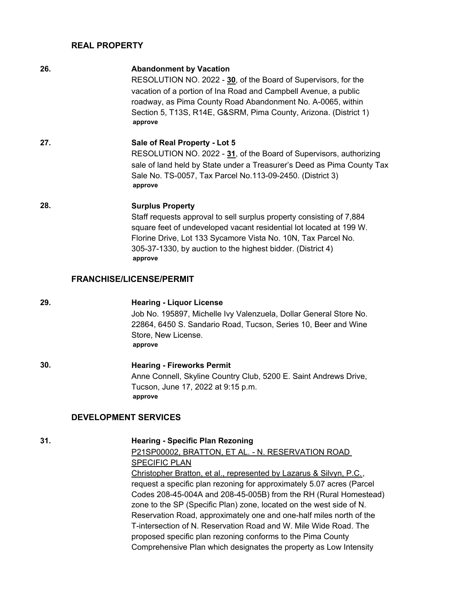#### **REAL PROPERTY**

| 26. | <b>Abandonment by Vacation</b><br>RESOLUTION NO. 2022 - 30, of the Board of Supervisors, for the<br>vacation of a portion of Ina Road and Campbell Avenue, a public<br>roadway, as Pima County Road Abandonment No. A-0065, within<br>Section 5, T13S, R14E, G&SRM, Pima County, Arizona. (District 1)<br>approve |
|-----|-------------------------------------------------------------------------------------------------------------------------------------------------------------------------------------------------------------------------------------------------------------------------------------------------------------------|
| 27. | Sale of Real Property - Lot 5<br>RESOLUTION NO. 2022 - 31, of the Board of Supervisors, authorizing<br>sale of land held by State under a Treasurer's Deed as Pima County Tax<br>Sale No. TS-0057, Tax Parcel No.113-09-2450. (District 3)<br>approve                                                             |
| 28. | <b>Surplus Property</b><br>Staff requests approval to sell surplus property consisting of 7,884<br>square feet of undeveloped vacant residential lot located at 199 W.<br>Florine Drive, Lot 133 Sycamore Vista No. 10N, Tax Parcel No.<br>305-37-1330, by auction to the highest bidder. (District 4)<br>approve |
|     | <b>FRANCHISE/LICENSE/PERMIT</b>                                                                                                                                                                                                                                                                                   |
| 29. | <b>Hearing - Liquor License</b><br>Job No. 195897, Michelle Ivy Valenzuela, Dollar General Store No.<br>22864, 6450 S. Sandario Road, Tucson, Series 10, Beer and Wine<br>Store, New License.<br>approve                                                                                                          |

**30. Hearing - Fireworks Permit** Anne Connell, Skyline Country Club, 5200 E. Saint Andrews Drive, Tucson, June 17, 2022 at 9:15 p.m. **approve**

## **DEVELOPMENT SERVICES**

#### **31. Hearing - Specific Plan Rezoning**

P21SP00002, BRATTON, ET AL. - N. RESERVATION ROAD SPECIFIC PLAN Christopher Bratton, et al., represented by Lazarus & Silvyn, P.C., request a specific plan rezoning for approximately 5.07 acres (Parcel Codes 208-45-004A and 208-45-005B) from the RH (Rural Homestead) zone to the SP (Specific Plan) zone, located on the west side of N. Reservation Road, approximately one and one-half miles north of the T-intersection of N. Reservation Road and W. Mile Wide Road. The proposed specific plan rezoning conforms to the Pima County Comprehensive Plan which designates the property as Low Intensity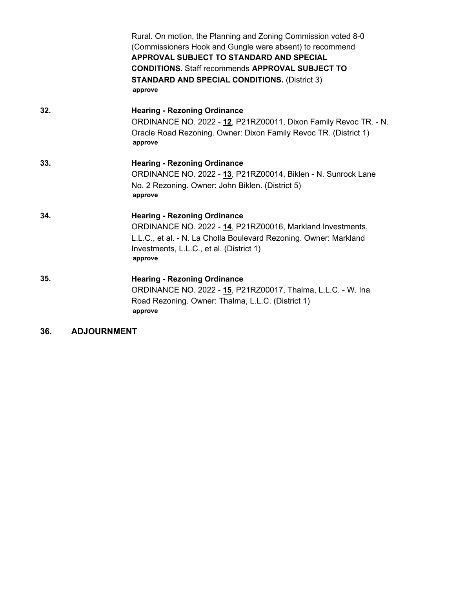|     | Rural. On motion, the Planning and Zoning Commission voted 8-0<br>(Commissioners Hook and Gungle were absent) to recommend<br>APPROVAL SUBJECT TO STANDARD AND SPECIAL<br><b>CONDITIONS.</b> Staff recommends <b>APPROVAL SUBJECT TO</b><br><b>STANDARD AND SPECIAL CONDITIONS. (District 3)</b><br>approve |
|-----|-------------------------------------------------------------------------------------------------------------------------------------------------------------------------------------------------------------------------------------------------------------------------------------------------------------|
| 32. | <b>Hearing - Rezoning Ordinance</b><br>ORDINANCE NO. 2022 - 12, P21RZ00011, Dixon Family Revoc TR. - N.<br>Oracle Road Rezoning. Owner: Dixon Family Revoc TR. (District 1)<br>approve                                                                                                                      |
| 33. | <b>Hearing - Rezoning Ordinance</b><br>ORDINANCE NO. 2022 - 13, P21RZ00014, Biklen - N. Sunrock Lane<br>No. 2 Rezoning. Owner: John Biklen. (District 5)<br>approve                                                                                                                                         |
| 34. | <b>Hearing - Rezoning Ordinance</b><br>ORDINANCE NO. 2022 - 14, P21RZ00016, Markland Investments,<br>L.L.C., et al. - N. La Cholla Boulevard Rezoning. Owner: Markland<br>Investments, L.L.C., et al. (District 1)<br>approve                                                                               |
| 35. | <b>Hearing - Rezoning Ordinance</b><br>ORDINANCE NO. 2022 - 15, P21RZ00017, Thalma, L.L.C. - W. Ina<br>Road Rezoning. Owner: Thalma, L.L.C. (District 1)<br>approve                                                                                                                                         |

**36. ADJOURNMENT**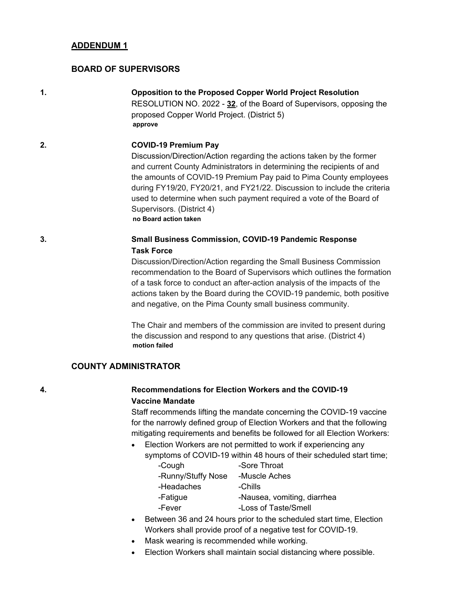## **BOARD OF SUPERVISORS**

**1. Opposition to the Proposed Copper World Project Resolution** RESOLUTION NO. 2022 - **32**, of the Board of Supervisors, opposing the proposed Copper World Project. (District 5) **approve**

#### **2. COVID-19 Premium Pay**

Discussion/Direction/Action regarding the actions taken by the former and current County Administrators in determining the recipients of and the amounts of COVID-19 Premium Pay paid to Pima County employees during FY19/20, FY20/21, and FY21/22. Discussion to include the criteria used to determine when such payment required a vote of the Board of Supervisors. (District 4) **no Board action taken**

## **3. Small Business Commission, COVID-19 Pandemic Response Task Force**

Discussion/Direction/Action regarding the Small Business Commission recommendation to the Board of Supervisors which outlines the formation of a task force to conduct an after-action analysis of the impacts of the actions taken by the Board during the COVID-19 pandemic, both positive and negative, on the Pima County small business community.

The Chair and members of the commission are invited to present during the discussion and respond to any questions that arise. (District 4) **motion failed**

#### **COUNTY ADMINISTRATOR**

## **4. Recommendations for Election Workers and the COVID-19 Vaccine Mandate**

Staff recommends lifting the mandate concerning the COVID-19 vaccine for the narrowly defined group of Election Workers and that the following mitigating requirements and benefits be followed for all Election Workers:

· Election Workers are not permitted to work if experiencing any symptoms of COVID-19 within 48 hours of their scheduled start time;

| -Cough             | -Sore Throat                |
|--------------------|-----------------------------|
| -Runny/Stuffy Nose | -Muscle Aches               |
| -Headaches         | -Chills                     |
| -Fatigue           | -Nausea, vomiting, diarrhea |
| -Fever             | -Loss of Taste/Smell        |

- Between 36 and 24 hours prior to the scheduled start time, Election Workers shall provide proof of a negative test for COVID-19.
- Mask wearing is recommended while working.
- Election Workers shall maintain social distancing where possible.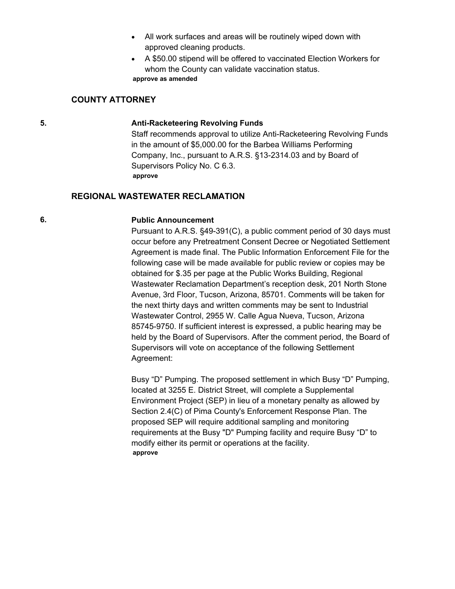- · All work surfaces and areas will be routinely wiped down with approved cleaning products.
- · A \$50.00 stipend will be offered to vaccinated Election Workers for whom the County can validate vaccination status. **approve as amended**

#### **COUNTY ATTORNEY**

#### **5. Anti-Racketeering Revolving Funds**

Staff recommends approval to utilize Anti-Racketeering Revolving Funds in the amount of \$5,000.00 for the Barbea Williams Performing Company, Inc., pursuant to A.R.S. §13-2314.03 and by Board of Supervisors Policy No. C 6.3. **approve**

## **REGIONAL WASTEWATER RECLAMATION**

#### **6. Public Announcement**

Pursuant to A.R.S. §49-391(C), a public comment period of 30 days must occur before any Pretreatment Consent Decree or Negotiated Settlement Agreement is made final. The Public Information Enforcement File for the following case will be made available for public review or copies may be obtained for \$.35 per page at the Public Works Building, Regional Wastewater Reclamation Department's reception desk, 201 North Stone Avenue, 3rd Floor, Tucson, Arizona, 85701. Comments will be taken for the next thirty days and written comments may be sent to Industrial Wastewater Control, 2955 W. Calle Agua Nueva, Tucson, Arizona 85745-9750. If sufficient interest is expressed, a public hearing may be held by the Board of Supervisors. After the comment period, the Board of Supervisors will vote on acceptance of the following Settlement Agreement:

Busy "D" Pumping. The proposed settlement in which Busy "D" Pumping, located at 3255 E. District Street, will complete a Supplemental Environment Project (SEP) in lieu of a monetary penalty as allowed by Section 2.4(C) of Pima County's Enforcement Response Plan. The proposed SEP will require additional sampling and monitoring requirements at the Busy "D" Pumping facility and require Busy "D" to modify either its permit or operations at the facility. **approve**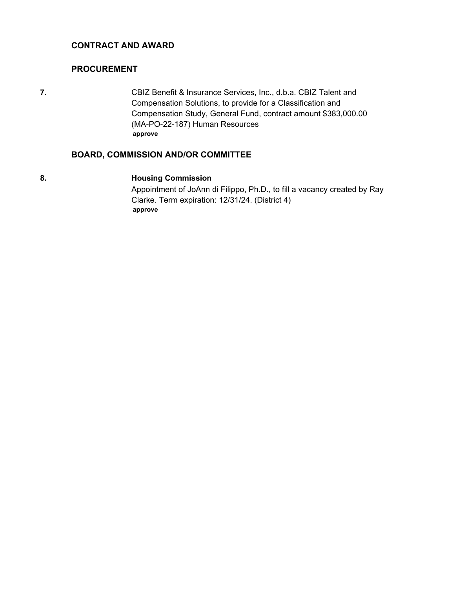## **CONTRACT AND AWARD**

## **PROCUREMENT**

**7.** CBIZ Benefit & Insurance Services, Inc., d.b.a. CBIZ Talent and Compensation Solutions, to provide for a Classification and Compensation Study, General Fund, contract amount \$383,000.00 (MA-PO-22-187) Human Resources **approve**

## **BOARD, COMMISSION AND/OR COMMITTEE**

#### **8. Housing Commission**

Appointment of JoAnn di Filippo, Ph.D., to fill a vacancy created by Ray Clarke. Term expiration: 12/31/24. (District 4) **approve**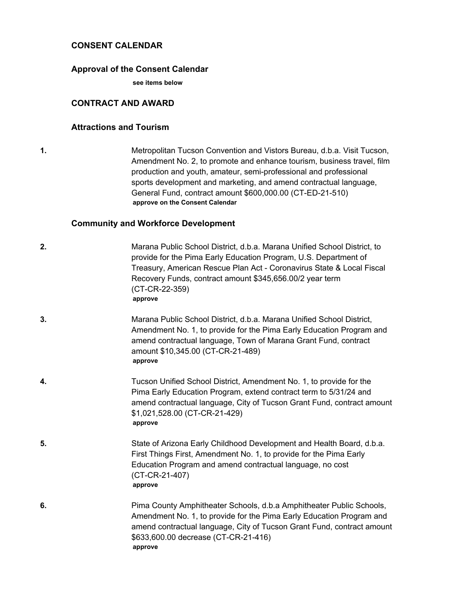## **CONSENT CALENDAR**

#### **Approval of the Consent Calendar**

**see items below**

## **CONTRACT AND AWARD**

#### **Attractions and Tourism**

**1.** Metropolitan Tucson Convention and Vistors Bureau, d.b.a. Visit Tucson, Amendment No. 2, to promote and enhance tourism, business travel, film production and youth, amateur, semi-professional and professional sports development and marketing, and amend contractual language, General Fund, contract amount \$600,000.00 (CT-ED-21-510) **approve on the Consent Calendar**

## **Community and Workforce Development**

| 2. | Marana Public School District, d.b.a. Marana Unified School District, to<br>provide for the Pima Early Education Program, U.S. Department of<br>Treasury, American Rescue Plan Act - Coronavirus State & Local Fiscal<br>Recovery Funds, contract amount \$345,656.00/2 year term<br>(CT-CR-22-359)<br>approve |
|----|----------------------------------------------------------------------------------------------------------------------------------------------------------------------------------------------------------------------------------------------------------------------------------------------------------------|
| 3. | Marana Public School District, d.b.a. Marana Unified School District,<br>Amendment No. 1, to provide for the Pima Early Education Program and<br>amend contractual language, Town of Marana Grant Fund, contract<br>amount \$10,345.00 (CT-CR-21-489)<br>approve                                               |
| 4. | Tucson Unified School District, Amendment No. 1, to provide for the<br>Pima Early Education Program, extend contract term to 5/31/24 and<br>amend contractual language, City of Tucson Grant Fund, contract amount<br>\$1,021,528.00 (CT-CR-21-429)<br>approve                                                 |
| 5. | State of Arizona Early Childhood Development and Health Board, d.b.a.<br>First Things First, Amendment No. 1, to provide for the Pima Early<br>Education Program and amend contractual language, no cost<br>(CT-CR-21-407)<br>approve                                                                          |
| 6. | Pima County Amphitheater Schools, d.b.a Amphitheater Public Schools,<br>Amendment No. 1, to provide for the Pima Early Education Program and<br>amend contractual language, City of Tucson Grant Fund, contract amount<br>\$633,600.00 decrease (CT-CR-21-416)<br>approve                                      |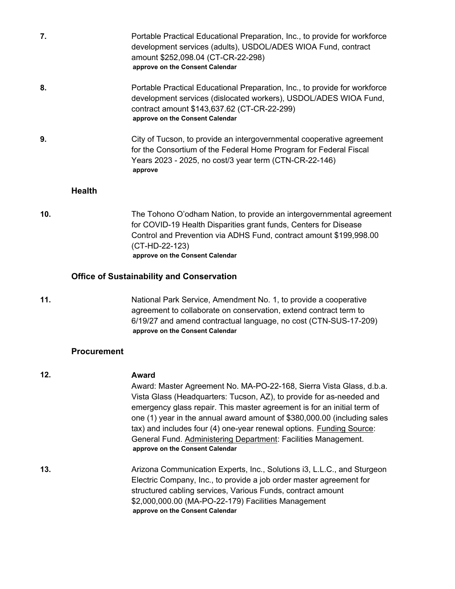| 7.  |               | Portable Practical Educational Preparation, Inc., to provide for workforce<br>development services (adults), USDOL/ADES WIOA Fund, contract<br>amount \$252,098.04 (CT-CR-22-298)<br>approve on the Consent Calendar                                                |
|-----|---------------|---------------------------------------------------------------------------------------------------------------------------------------------------------------------------------------------------------------------------------------------------------------------|
| 8.  |               | Portable Practical Educational Preparation, Inc., to provide for workforce<br>development services (dislocated workers), USDOL/ADES WIOA Fund,<br>contract amount \$143,637.62 (CT-CR-22-299)<br>approve on the Consent Calendar                                    |
| 9.  |               | City of Tucson, to provide an intergovernmental cooperative agreement<br>for the Consortium of the Federal Home Program for Federal Fiscal<br>Years 2023 - 2025, no cost/3 year term (CTN-CR-22-146)<br>approve                                                     |
|     | <b>Health</b> |                                                                                                                                                                                                                                                                     |
| 10. |               | The Tohono O'odham Nation, to provide an intergovernmental agreement<br>for COVID-19 Health Disparities grant funds, Centers for Disease<br>Control and Prevention via ADHS Fund, contract amount \$199,998.00<br>(CT-HD-22-123)<br>approve on the Consent Calendar |
|     |               | <b>Office of Sustainability and Conservation</b>                                                                                                                                                                                                                    |
| 11. |               | National Park Service, Amendment No. 1, to provide a cooperative<br>agreement to collaborate on conservation, extend contract term to<br>6/19/27 and amend contractual language, no cost (CTN-SUS-17-209)<br>approve on the Consent Calendar                        |

## **Procurement**

**12. Award** Award: Master Agreement No. MA-PO-22-168, Sierra Vista Glass, d.b.a. Vista Glass (Headquarters: Tucson, AZ), to provide for as-needed and emergency glass repair. This master agreement is for an initial term of one (1) year in the annual award amount of \$380,000.00 (including sales tax) and includes four (4) one-year renewal options. Funding Source: General Fund. Administering Department: Facilities Management. **approve on the Consent Calendar 13.** Arizona Communication Experts, Inc., Solutions i3, L.L.C., and Sturgeon Electric Company, Inc., to provide a job order master agreement for structured cabling services, Various Funds, contract amount \$2,000,000.00 (MA-PO-22-179) Facilities Management **approve on the Consent Calendar**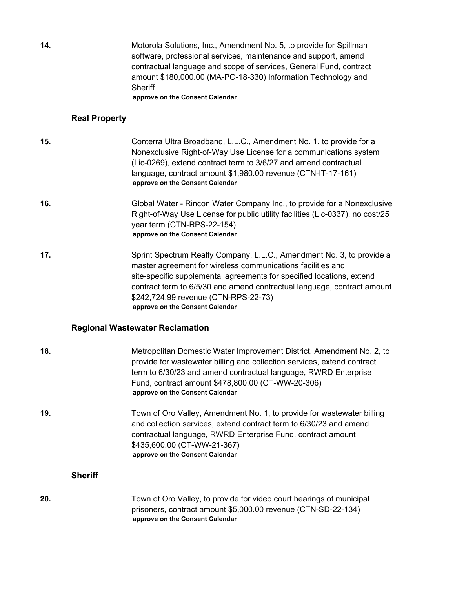**14.** Motorola Solutions, Inc., Amendment No. 5, to provide for Spillman software, professional services, maintenance and support, amend contractual language and scope of services, General Fund, contract amount \$180,000.00 (MA-PO-18-330) Information Technology and **Sheriff** 

**approve on the Consent Calendar**

#### **Real Property**

- **15.** Conterra Ultra Broadband, L.L.C., Amendment No. 1, to provide for a Nonexclusive Right-of-Way Use License for a communications system (Lic-0269), extend contract term to 3/6/27 and amend contractual language, contract amount \$1,980.00 revenue (CTN-IT-17-161) **approve on the Consent Calendar**
- **16.** Global Water Rincon Water Company Inc., to provide for a Nonexclusive Right-of-Way Use License for public utility facilities (Lic-0337), no cost/25 year term (CTN-RPS-22-154) **approve on the Consent Calendar**
- **17.** Sprint Spectrum Realty Company, L.L.C., Amendment No. 3, to provide a master agreement for wireless communications facilities and site-specific supplemental agreements for specified locations, extend contract term to 6/5/30 and amend contractual language, contract amount \$242,724.99 revenue (CTN-RPS-22-73) **approve on the Consent Calendar**

#### **Regional Wastewater Reclamation**

| 18.            | Metropolitan Domestic Water Improvement District, Amendment No. 2, to<br>provide for wastewater billing and collection services, extend contract<br>term to 6/30/23 and amend contractual language, RWRD Enterprise<br>Fund, contract amount \$478,800.00 (CT-WW-20-306)<br>approve on the Consent Calendar |
|----------------|-------------------------------------------------------------------------------------------------------------------------------------------------------------------------------------------------------------------------------------------------------------------------------------------------------------|
| 19.            | Town of Oro Valley, Amendment No. 1, to provide for wastewater billing<br>and collection services, extend contract term to 6/30/23 and amend<br>contractual language, RWRD Enterprise Fund, contract amount<br>\$435,600.00 (CT-WW-21-367)<br>approve on the Consent Calendar                               |
| <b>Sheriff</b> |                                                                                                                                                                                                                                                                                                             |
| 20.            | Town of Oro Valley, to provide for video court hearings of municipal<br>prisoners, contract amount \$5,000.00 revenue (CTN-SD-22-134)                                                                                                                                                                       |

**approve on the Consent Calendar**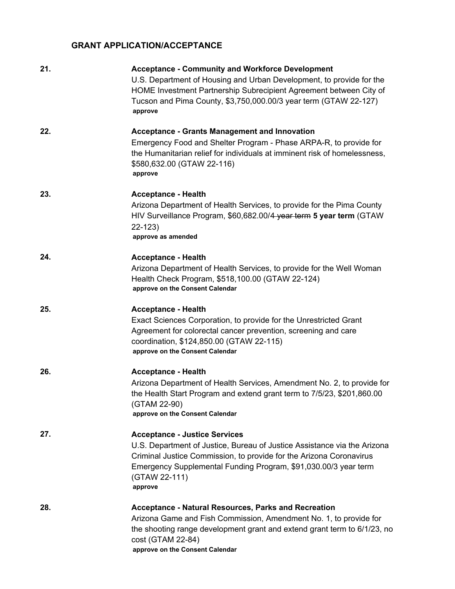## **GRANT APPLICATION/ACCEPTANCE**

| 21. | <b>Acceptance - Community and Workforce Development</b><br>U.S. Department of Housing and Urban Development, to provide for the<br>HOME Investment Partnership Subrecipient Agreement between City of<br>Tucson and Pima County, \$3,750,000.00/3 year term (GTAW 22-127)<br>approve   |
|-----|----------------------------------------------------------------------------------------------------------------------------------------------------------------------------------------------------------------------------------------------------------------------------------------|
| 22. | <b>Acceptance - Grants Management and Innovation</b><br>Emergency Food and Shelter Program - Phase ARPA-R, to provide for<br>the Humanitarian relief for individuals at imminent risk of homelessness,<br>\$580,632.00 (GTAW 22-116)<br>approve                                        |
| 23. | <b>Acceptance - Health</b><br>Arizona Department of Health Services, to provide for the Pima County<br>HIV Surveillance Program, \$60,682.00/4 year term 5 year term (GTAW<br>$22 - 123$<br>approve as amended                                                                         |
| 24. | <b>Acceptance - Health</b><br>Arizona Department of Health Services, to provide for the Well Woman<br>Health Check Program, \$518,100.00 (GTAW 22-124)<br>approve on the Consent Calendar                                                                                              |
| 25. | <b>Acceptance - Health</b><br>Exact Sciences Corporation, to provide for the Unrestricted Grant<br>Agreement for colorectal cancer prevention, screening and care<br>coordination, \$124,850.00 (GTAW 22-115)<br>approve on the Consent Calendar                                       |
| 26. | <b>Acceptance - Health</b><br>Arizona Department of Health Services, Amendment No. 2, to provide for<br>the Health Start Program and extend grant term to 7/5/23, \$201,860.00<br>(GTAM 22-90)<br>approve on the Consent Calendar                                                      |
| 27. | <b>Acceptance - Justice Services</b><br>U.S. Department of Justice, Bureau of Justice Assistance via the Arizona<br>Criminal Justice Commission, to provide for the Arizona Coronavirus<br>Emergency Supplemental Funding Program, \$91,030.00/3 year term<br>(GTAW 22-111)<br>approve |
| 28. | <b>Acceptance - Natural Resources, Parks and Recreation</b><br>Arizona Game and Fish Commission, Amendment No. 1, to provide for<br>the shooting range development grant and extend grant term to 6/1/23, no<br>cost (GTAM 22-84)<br>approve on the Consent Calendar                   |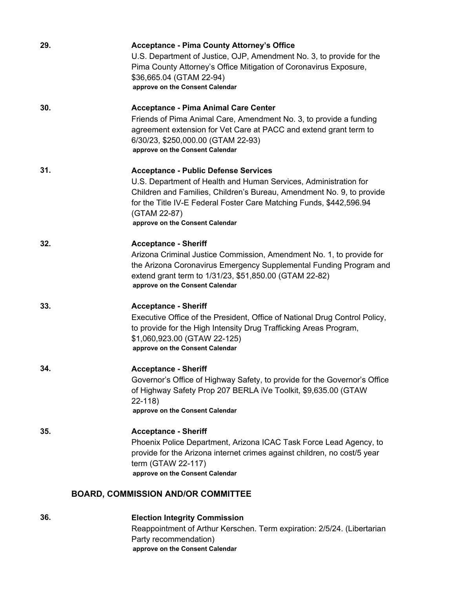| 29. | <b>Acceptance - Pima County Attorney's Office</b><br>U.S. Department of Justice, OJP, Amendment No. 3, to provide for the<br>Pima County Attorney's Office Mitigation of Coronavirus Exposure,<br>\$36,665.04 (GTAM 22-94)<br>approve on the Consent Calendar                                                      |
|-----|--------------------------------------------------------------------------------------------------------------------------------------------------------------------------------------------------------------------------------------------------------------------------------------------------------------------|
| 30. | <b>Acceptance - Pima Animal Care Center</b><br>Friends of Pima Animal Care, Amendment No. 3, to provide a funding<br>agreement extension for Vet Care at PACC and extend grant term to<br>6/30/23, \$250,000.00 (GTAM 22-93)<br>approve on the Consent Calendar                                                    |
| 31. | <b>Acceptance - Public Defense Services</b><br>U.S. Department of Health and Human Services, Administration for<br>Children and Families, Children's Bureau, Amendment No. 9, to provide<br>for the Title IV-E Federal Foster Care Matching Funds, \$442,596.94<br>(GTAM 22-87)<br>approve on the Consent Calendar |
| 32. | <b>Acceptance - Sheriff</b><br>Arizona Criminal Justice Commission, Amendment No. 1, to provide for<br>the Arizona Coronavirus Emergency Supplemental Funding Program and<br>extend grant term to 1/31/23, \$51,850.00 (GTAM 22-82)<br>approve on the Consent Calendar                                             |
| 33. | <b>Acceptance - Sheriff</b><br>Executive Office of the President, Office of National Drug Control Policy,<br>to provide for the High Intensity Drug Trafficking Areas Program,<br>\$1,060,923.00 (GTAW 22-125)<br>approve on the Consent Calendar                                                                  |
| 34. | <b>Acceptance - Sheriff</b><br>Governor's Office of Highway Safety, to provide for the Governor's Office<br>of Highway Safety Prop 207 BERLA iVe Toolkit, \$9,635.00 (GTAW<br>$22 - 118$<br>approve on the Consent Calendar                                                                                        |
| 35. | <b>Acceptance - Sheriff</b><br>Phoenix Police Department, Arizona ICAC Task Force Lead Agency, to<br>provide for the Arizona internet crimes against children, no cost/5 year<br>term (GTAW 22-117)<br>approve on the Consent Calendar                                                                             |
|     | <b>BOARD, COMMISSION AND/OR COMMITTEE</b>                                                                                                                                                                                                                                                                          |

## **36. Election Integrity Commission**

Reappointment of Arthur Kerschen. Term expiration: 2/5/24. (Libertarian Party recommendation) **approve on the Consent Calendar**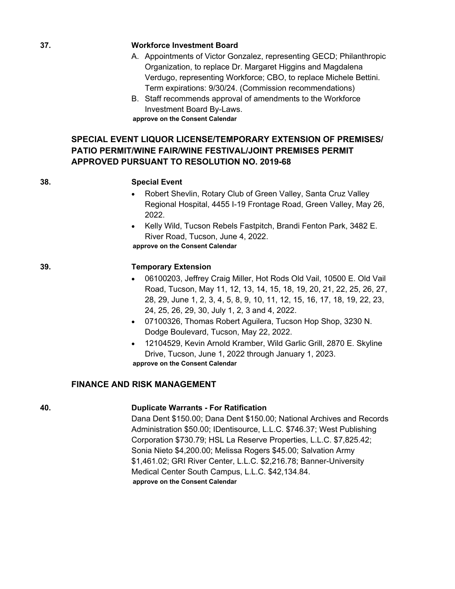#### **37. Workforce Investment Board**

- A. Appointments of Victor Gonzalez, representing GECD; Philanthropic Organization, to replace Dr. Margaret Higgins and Magdalena Verdugo, representing Workforce; CBO, to replace Michele Bettini. Term expirations: 9/30/24. (Commission recommendations)
- B. Staff recommends approval of amendments to the Workforce Investment Board By-Laws.

**approve on the Consent Calendar**

## **SPECIAL EVENT LIQUOR LICENSE/TEMPORARY EXTENSION OF PREMISES/ PATIO PERMIT/WINE FAIR/WINE FESTIVAL/JOINT PREMISES PERMIT APPROVED PURSUANT TO RESOLUTION NO. 2019-68**

#### **38. Special Event**

- Robert Shevlin, Rotary Club of Green Valley, Santa Cruz Valley Regional Hospital, 4455 I-19 Frontage Road, Green Valley, May 26, 2022.
- · Kelly Wild, Tucson Rebels Fastpitch, Brandi Fenton Park, 3482 E. River Road, Tucson, June 4, 2022. **approve on the Consent Calendar**

#### **39. Temporary Extension**

- · 06100203, Jeffrey Craig Miller, Hot Rods Old Vail, 10500 E. Old Vail Road, Tucson, May 11, 12, 13, 14, 15, 18, 19, 20, 21, 22, 25, 26, 27, 28, 29, June 1, 2, 3, 4, 5, 8, 9, 10, 11, 12, 15, 16, 17, 18, 19, 22, 23, 24, 25, 26, 29, 30, July 1, 2, 3 and 4, 2022.
- · 07100326, Thomas Robert Aguilera, Tucson Hop Shop, 3230 N. Dodge Boulevard, Tucson, May 22, 2022.
- · 12104529, Kevin Arnold Kramber, Wild Garlic Grill, 2870 E. Skyline Drive, Tucson, June 1, 2022 through January 1, 2023. **approve on the Consent Calendar**

## **FINANCE AND RISK MANAGEMENT**

## **40. Duplicate Warrants - For Ratification**

Dana Dent \$150.00; Dana Dent \$150.00; National Archives and Records Administration \$50.00; IDentisource, L.L.C. \$746.37; West Publishing Corporation \$730.79; HSL La Reserve Properties, L.L.C. \$7,825.42; Sonia Nieto \$4,200.00; Melissa Rogers \$45.00; Salvation Army \$1,461.02; GRI River Center, L.L.C. \$2,216.78; Banner-University Medical Center South Campus, L.L.C. \$42,134.84. **approve on the Consent Calendar**